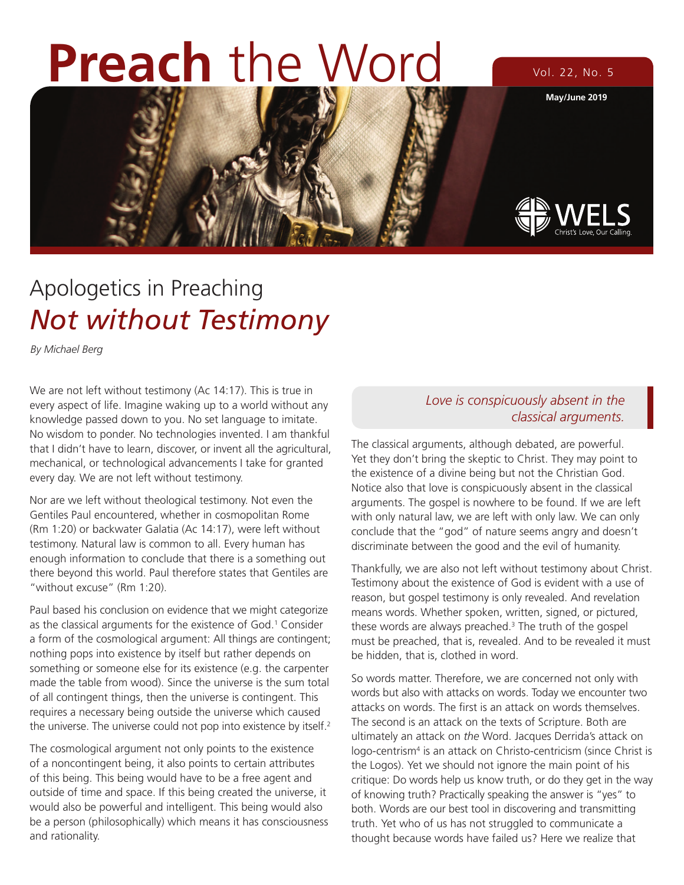# **Preach** the Word Vol. 22, No. 5

**May/June 2019**



# Apologetics in Preaching *Not without Testimony*

*By Michael Berg*

We are not left without testimony (Ac 14:17). This is true in every aspect of life. Imagine waking up to a world without any knowledge passed down to you. No set language to imitate. No wisdom to ponder. No technologies invented. I am thankful that I didn't have to learn, discover, or invent all the agricultural, mechanical, or technological advancements I take for granted every day. We are not left without testimony.

Nor are we left without theological testimony. Not even the Gentiles Paul encountered, whether in cosmopolitan Rome (Rm 1:20) or backwater Galatia (Ac 14:17), were left without testimony. Natural law is common to all. Every human has enough information to conclude that there is a something out there beyond this world. Paul therefore states that Gentiles are "without excuse" (Rm 1:20).

Paul based his conclusion on evidence that we might categorize as the classical arguments for the existence of God.<sup>1</sup> Consider a form of the cosmological argument: All things are contingent; nothing pops into existence by itself but rather depends on something or someone else for its existence (e.g. the carpenter made the table from wood). Since the universe is the sum total of all contingent things, then the universe is contingent. This requires a necessary being outside the universe which caused the universe. The universe could not pop into existence by itself.<sup>2</sup>

The cosmological argument not only points to the existence of a noncontingent being, it also points to certain attributes of this being. This being would have to be a free agent and outside of time and space. If this being created the universe, it would also be powerful and intelligent. This being would also be a person (philosophically) which means it has consciousness and rationality.

#### *Love is conspicuously absent in the classical arguments.*

The classical arguments, although debated, are powerful. Yet they don't bring the skeptic to Christ. They may point to the existence of a divine being but not the Christian God. Notice also that love is conspicuously absent in the classical arguments. The gospel is nowhere to be found. If we are left with only natural law, we are left with only law. We can only conclude that the "god" of nature seems angry and doesn't discriminate between the good and the evil of humanity.

Thankfully, we are also not left without testimony about Christ. Testimony about the existence of God is evident with a use of reason, but gospel testimony is only revealed. And revelation means words. Whether spoken, written, signed, or pictured, these words are always preached.<sup>3</sup> The truth of the gospel must be preached, that is, revealed. And to be revealed it must be hidden, that is, clothed in word.

So words matter. Therefore, we are concerned not only with words but also with attacks on words. Today we encounter two attacks on words. The first is an attack on words themselves. The second is an attack on the texts of Scripture. Both are ultimately an attack on *the* Word. Jacques Derrida's attack on logo-centrism<sup>4</sup> is an attack on Christo-centricism (since Christ is the Logos). Yet we should not ignore the main point of his critique: Do words help us know truth, or do they get in the way of knowing truth? Practically speaking the answer is "yes" to both. Words are our best tool in discovering and transmitting truth. Yet who of us has not struggled to communicate a thought because words have failed us? Here we realize that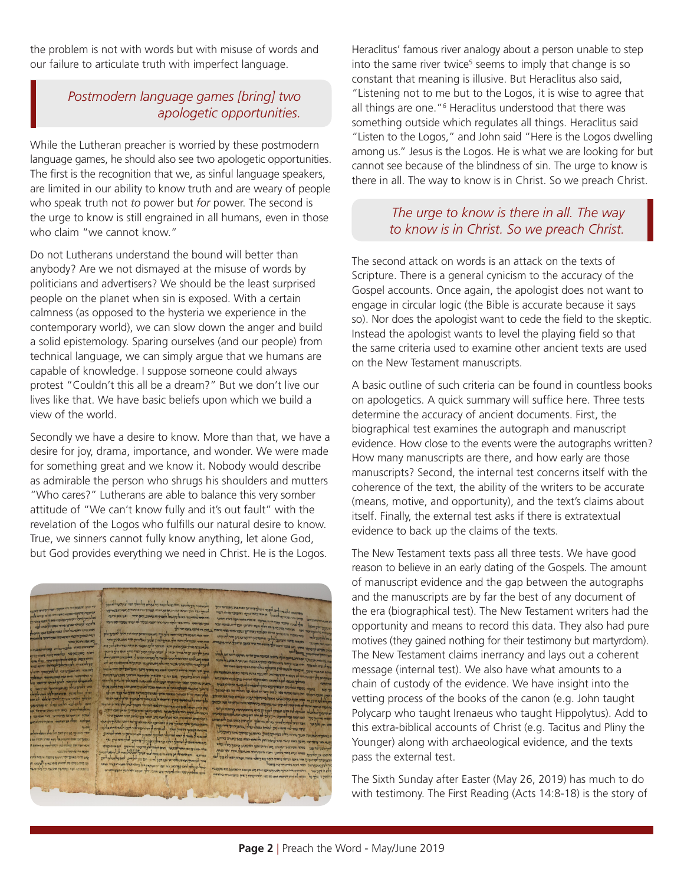the problem is not with words but with misuse of words and our failure to articulate truth with imperfect language.

### *Postmodern language games [bring] two apologetic opportunities.*

While the Lutheran preacher is worried by these postmodern language games, he should also see two apologetic opportunities. The first is the recognition that we, as sinful language speakers, are limited in our ability to know truth and are weary of people who speak truth not *to* power but *for* power. The second is the urge to know is still engrained in all humans, even in those who claim "we cannot know."

Do not Lutherans understand the bound will better than anybody? Are we not dismayed at the misuse of words by politicians and advertisers? We should be the least surprised people on the planet when sin is exposed. With a certain calmness (as opposed to the hysteria we experience in the contemporary world), we can slow down the anger and build a solid epistemology. Sparing ourselves (and our people) from technical language, we can simply argue that we humans are capable of knowledge. I suppose someone could always protest "Couldn't this all be a dream?" But we don't live our lives like that. We have basic beliefs upon which we build a view of the world.

Secondly we have a desire to know. More than that, we have a desire for joy, drama, importance, and wonder. We were made for something great and we know it. Nobody would describe as admirable the person who shrugs his shoulders and mutters "Who cares?" Lutherans are able to balance this very somber attitude of "We can't know fully and it's out fault" with the revelation of the Logos who fulfills our natural desire to know. True, we sinners cannot fully know anything, let alone God, but God provides everything we need in Christ. He is the Logos.

Heraclitus' famous river analogy about a person unable to step into the same river twice<sup>5</sup> seems to imply that change is so constant that meaning is illusive. But Heraclitus also said, "Listening not to me but to the Logos, it is wise to agree that all things are one."<sup>6</sup> Heraclitus understood that there was something outside which regulates all things. Heraclitus said "Listen to the Logos," and John said "Here is the Logos dwelling among us." Jesus is the Logos. He is what we are looking for but cannot see because of the blindness of sin. The urge to know is there in all. The way to know is in Christ. So we preach Christ.

#### *The urge to know is there in all. The way to know is in Christ. So we preach Christ.*

The second attack on words is an attack on the texts of Scripture. There is a general cynicism to the accuracy of the Gospel accounts. Once again, the apologist does not want to engage in circular logic (the Bible is accurate because it says so). Nor does the apologist want to cede the field to the skeptic. Instead the apologist wants to level the playing field so that the same criteria used to examine other ancient texts are used on the New Testament manuscripts.

A basic outline of such criteria can be found in countless books on apologetics. A quick summary will suffice here. Three tests determine the accuracy of ancient documents. First, the biographical test examines the autograph and manuscript evidence. How close to the events were the autographs written? How many manuscripts are there, and how early are those manuscripts? Second, the internal test concerns itself with the coherence of the text, the ability of the writers to be accurate (means, motive, and opportunity), and the text's claims about itself. Finally, the external test asks if there is extratextual evidence to back up the claims of the texts.

The New Testament texts pass all three tests. We have good reason to believe in an early dating of the Gospels. The amount of manuscript evidence and the gap between the autographs and the manuscripts are by far the best of any document of the era (biographical test). The New Testament writers had the opportunity and means to record this data. They also had pure motives (they gained nothing for their testimony but martyrdom). The New Testament claims inerrancy and lays out a coherent message (internal test). We also have what amounts to a chain of custody of the evidence. We have insight into the vetting process of the books of the canon (e.g. John taught Polycarp who taught Irenaeus who taught Hippolytus). Add to this extra-biblical accounts of Christ (e.g. Tacitus and Pliny the Younger) along with archaeological evidence, and the texts pass the external test.

The Sixth Sunday after Easter (May 26, 2019) has much to do with testimony. The First Reading (Acts 14:8-18) is the story of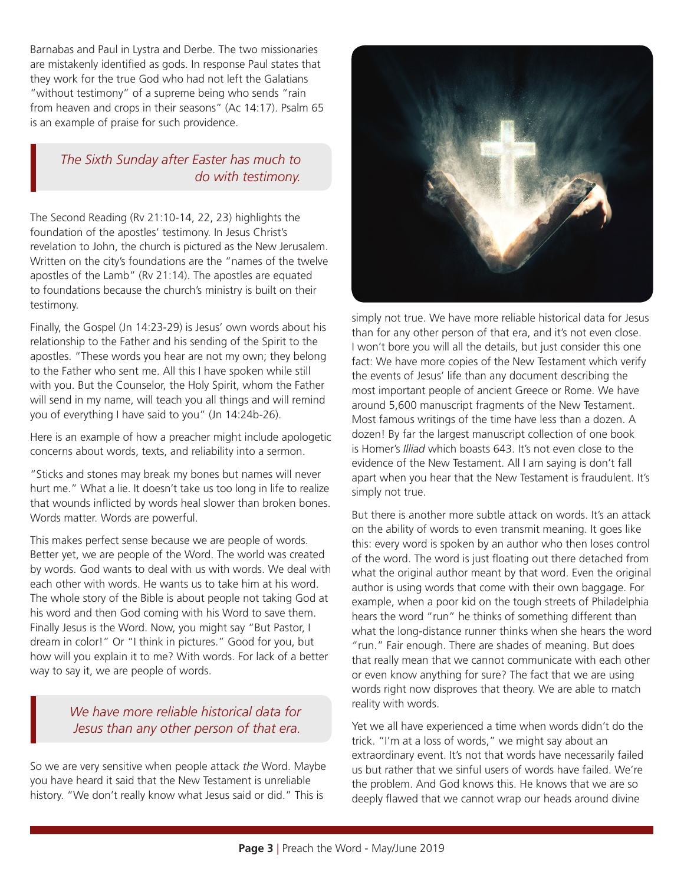Barnabas and Paul in Lystra and Derbe. The two missionaries are mistakenly identified as gods. In response Paul states that they work for the true God who had not left the Galatians "without testimony" of a supreme being who sends "rain from heaven and crops in their seasons" (Ac 14:17). Psalm 65 is an example of praise for such providence.

### *The Sixth Sunday after Easter has much to do with testimony.*

The Second Reading (Rv 21:10-14, 22, 23) highlights the foundation of the apostles' testimony. In Jesus Christ's revelation to John, the church is pictured as the New Jerusalem. Written on the city's foundations are the "names of the twelve apostles of the Lamb" (Rv 21:14). The apostles are equated to foundations because the church's ministry is built on their testimony.

Finally, the Gospel (Jn 14:23-29) is Jesus' own words about his relationship to the Father and his sending of the Spirit to the apostles. "These words you hear are not my own; they belong to the Father who sent me. All this I have spoken while still with you. But the Counselor, the Holy Spirit, whom the Father will send in my name, will teach you all things and will remind you of everything I have said to you" (Jn 14:24b-26).

Here is an example of how a preacher might include apologetic concerns about words, texts, and reliability into a sermon.

"Sticks and stones may break my bones but names will never hurt me." What a lie. It doesn't take us too long in life to realize that wounds inflicted by words heal slower than broken bones. Words matter. Words are powerful.

This makes perfect sense because we are people of words. Better yet, we are people of the Word. The world was created by words. God wants to deal with us with words. We deal with each other with words. He wants us to take him at his word. The whole story of the Bible is about people not taking God at his word and then God coming with his Word to save them. Finally Jesus is the Word. Now, you might say "But Pastor, I dream in color!" Or "I think in pictures." Good for you, but how will you explain it to me? With words. For lack of a better way to say it, we are people of words.

### *We have more reliable historical data for Jesus than any other person of that era.*

So we are very sensitive when people attack *the* Word. Maybe you have heard it said that the New Testament is unreliable history. "We don't really know what Jesus said or did." This is



simply not true. We have more reliable historical data for Jesus than for any other person of that era, and it's not even close. I won't bore you will all the details, but just consider this one fact: We have more copies of the New Testament which verify the events of Jesus' life than any document describing the most important people of ancient Greece or Rome. We have around 5,600 manuscript fragments of the New Testament. Most famous writings of the time have less than a dozen. A dozen! By far the largest manuscript collection of one book is Homer's *Illiad* which boasts 643. It's not even close to the evidence of the New Testament. All I am saying is don't fall apart when you hear that the New Testament is fraudulent. It's simply not true.

But there is another more subtle attack on words. It's an attack on the ability of words to even transmit meaning. It goes like this: every word is spoken by an author who then loses control of the word. The word is just floating out there detached from what the original author meant by that word. Even the original author is using words that come with their own baggage. For example, when a poor kid on the tough streets of Philadelphia hears the word "run" he thinks of something different than what the long-distance runner thinks when she hears the word "run." Fair enough. There are shades of meaning. But does that really mean that we cannot communicate with each other or even know anything for sure? The fact that we are using words right now disproves that theory. We are able to match reality with words.

Yet we all have experienced a time when words didn't do the trick. "I'm at a loss of words," we might say about an extraordinary event. It's not that words have necessarily failed us but rather that we sinful users of words have failed. We're the problem. And God knows this. He knows that we are so deeply flawed that we cannot wrap our heads around divine